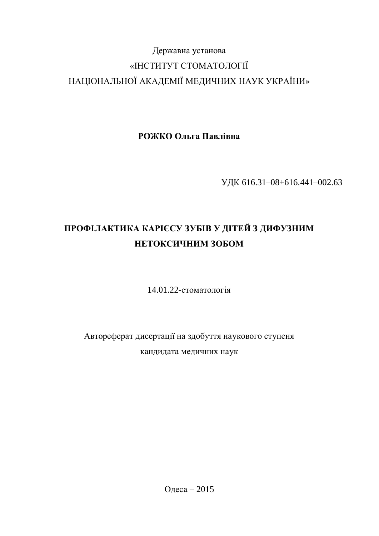# Державна установа «ІНСТИТУТ СТОМАТОЛОГІЇ НАЦІОНАЛЬНОЇ АКАДЕМІЇ МЕДИЧНИХ НАУК УКРАЇНИ»

**РОЖКО Ольга Павлівна** 

ɍȾɄ 616.31–08+616.441–002.63

# ПРОФІЛАКТИКА КАРІЄСУ ЗУБІВ У ДІТЕЙ З ДИФУЗНИМ НЕТОКСИЧНИМ ЗОБОМ

14.01.22-стоматологія

Автореферат дисертації на здобуття наукового ступеня кандидата медичних наук

Одеса – 2015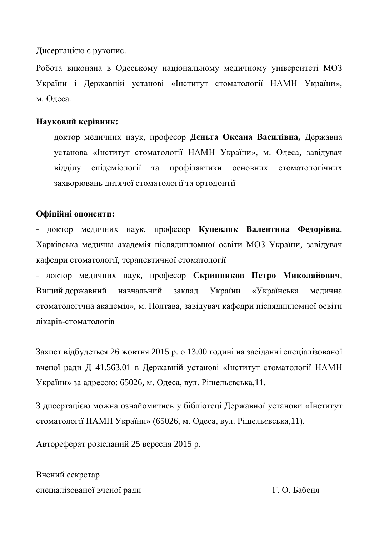Дисертацією є рукопис.

Робота виконана в Одеському національному медичному університеті МОЗ України і Державній установі «Інститут стоматології НАМН України», м. Олеса.

### **Науковий керівник:**

доктор медичних наук, професор Дєньга Оксана Василівна, Державна установа «Інститут стоматології НАМН України», м. Одеса, завідувач відділу епідеміології та профілактики основних стоматологічних захворювань дитячої стоматології та ортодонтії

### **Ɉɮɿɰɿɣɧɿɨɩɨɧɟɧɬɢ:**

- доктор медичних наук, професор Куцевляк Валентина Федорівна, Харківська медична академія післядипломної освіти МОЗ України, завідувач кафедри стоматології, терапевтичної стоматології

- доктор медичних наук, професор Скрипников Петро Миколайович, Вищий державний навчальний заклад України «Українська медична стоматологічна академія», м. Полтава, завідувач кафедри післядипломної освіти лікарів-стоматологів

Захист відбудеться 26 жовтня 2015 р. о 13.00 годині на засіданні спеціалізованої вченої ради Д 41.563.01 в Державній установі «Інститут стоматології НАМН України» за адресою: 65026, м. Одеса, вул. Рішельєвська,11.

З дисертацією можна ознайомитись у бібліотеці Державної установи «Інститут стоматології НАМН України» (65026, м. Одеса, вул. Рішельєвська,11).

Автореферат розісланий 25 вересня 2015 р.

Вчений секретар спеціалізованої вченої ради П. О. Бабеня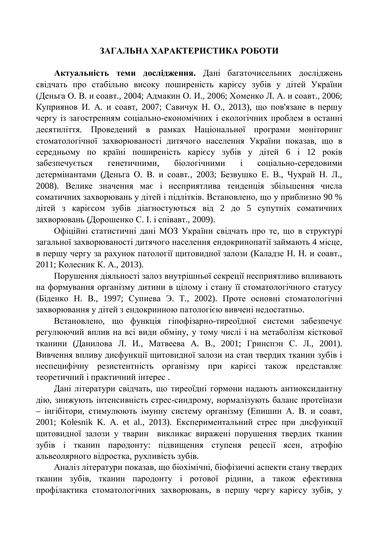# ЗАГАЛЬНА ХАРАКТЕРИСТИКА РОБОТИ

Актуальність теми дослідження. Дані багаточисельних досліджень свідчать про стабільно високу поширеність карієсу зубів у дітей України (Деньга О. В. и соавт., 2004; Адмакин О. И., 2006; Хоменко Л. А. и соавт., 2006; Куприянов И. А. и соавт, 2007; Савичук Н. О., 2013), що пов'язане в першу чергу із загостренням соціально-економічних і екологічних проблем в останні десятиліття. Проведений в рамках Національної програми моніторинг стоматологічної захворюваності дитячого населення України показав, що в середньому по країні поширеність карієсу зубів у дітей 6 і 12 років забезпечується генетичними, біологічними і соціально-середовими детермінантами (Деньга О. В. и соавт., 2003; Безвушко Е. В., Чухрай Н. Л., 2008). Велике значення має і несприятлива тенденція збільшення числа соматичних захворювань у дітей і підлітків. Встановлено, що у приблизно 90 % дітей з карієсом зубів діагностуються від 2 до 5 супутніх соматичних захворювань (Дорошенко С. І. і співавт., 2009).

Офіційні статистичні дані МОЗ України свідчать про те, що в структурі загальної захворюваності дитячого населення ендокринопатії займають 4 місце, в першу чергу за рахунок патології щитовидної залози (Каладзе Н. Н. и соавт., 2011: Колесник К. А., 2013).

Порушення діяльності залоз внутрішньої секреції несприятливо впливають на формування організму дитини в цілому і стану її стоматологічного статусу (Біденко Н. В., 1997; Супиева Э. Т., 2002). Проте основні стоматологічні захворювання у дітей з ендокринною патологією вивчені недостатньо.

Встановлено, що функція гіпофізарно-тиреоїдної системи забезпечує регулюючий вплив на всі види обміну, у тому числі і на метаболізм кісткової тканини (Данилова Л. И., Матвеева А. В., 2001; Гринспэн С. Л., 2001). Вивчення впливу дисфункції щитовидної залози на стан твердих тканин зубів і неспецифічну резистентність організму при карієсі також представляє теоретичний і практичний інтерес.

Дані літератури свідчать, що тиреоїдні гормони надають антиоксидантну дію, знижують інтенсивність стрес-синдрому, нормалізують баланс протеїнази – інгібітори, стимулюють імунну систему організму (Епишин А. В. и соавт, 2001; Kolesnik K. A. et al., 2013). Експериментальний стрес при дисфункції щитовидної залози у тварин викликає виражені порушення твердих тканин зубів і тканин пародонту: підвищення ступеня рецесії ясен, атрофію альвеолярного відростка, рухливість зубів.

Аналіз літератури показав, що біохімічні, біофізичні аспекти стану твердих тканин зубів, тканин пародонту і ротової рідини, а також ефективна профілактика стоматологічних захворювань, в першу чергу карієсу зубів, у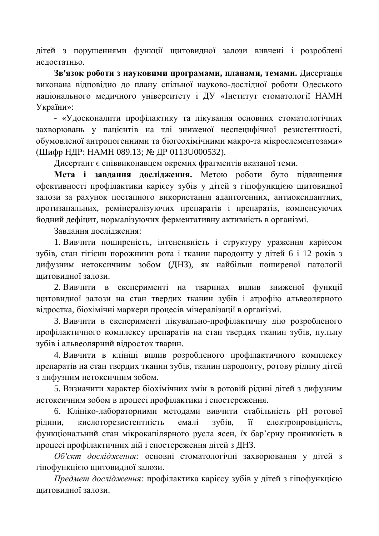дітей з порушеннями функції щитовидної залози вивчені і розроблені нелостатньо.

Зв'язок роботи з науковими програмами, планами, темами. Дисертація виконана відповідно до плану спільної науково-дослідної роботи Одеського національного медичного університету і ДУ «Інститут стоматології НАМН України»:

- «Удосконалити профілактику та лікування основних стоматологічних захворювань у пацієнтів на тлі зниженої неспецифічної резистентності. обумовленої антропогенними та біогеохімічними макро-та мікроелементозами» (Шифр НДР: НАМН 089.13; № ДР 0113U000532).

Дисертант є співвиконавцем окремих фрагментів вказаної теми.

Мета і завдання дослідження. Метою роботи було підвищення ефективності профілактики карієсу зубів у дітей з гіпофункцією щитовидної залози за рахунок поетапного використання адаптогенних, антиоксидантних, протизапальних, ремінералізуючих препаратів і препаратів, компенсуючих йодний дефіцит, нормалізуючих ферментативну активність в організмі.

Завдання дослідження:

1. Вивчити поширеність, інтенсивність і структуру ураження карієсом зубів, стан гігієни порожнини рота і тканин пародонту у дітей 6 і 12 років з дифузним нетоксичним зобом (ДНЗ), як найбільш поширеної патології шитовилної залози.

2. Вивчити в експерименті на тваринах вплив зниженої функції щитовидної залози на стан твердих тканин зубів і атрофію альвеолярного відростка, біохімічні маркери процесів мінералізації в організмі.

3. Вивчити в експерименті лікувально-профілактичну дію розробленого профілактичного комплексу препаратів на стан твердих тканин зубів, пульпу зубів і альвеолярний відросток тварин.

4. Вивчити в клініці вплив розробленого профілактичного комплексу препаратів на стан твердих тканин зубів, тканин пародонту, ротову рідину дітей з дифузним нетоксичним зобом.

5. Визначити характер біохімічних змін в ротовій рідині дітей з дифузним нетоксичним зобом в процесі профілактики і спостереження.

6. Клініко-лабораторними методами вивчити стабільність рН ротової рідини, кислоторезистентність емалі зубів, її електропровідність, функціональний стан мікрокапілярного русла ясен, їх бар'єрну проникність в процесі профілактичних дій і спостереження дітей з ДНЗ.

Об'єкт дослідження: основні стоматологічні захворювання у дітей з гіпофункцією щитовидної залози.

*Предмет дослідження:* профілактика карієсу зубів у дітей з гіпофункцією питовилної залози.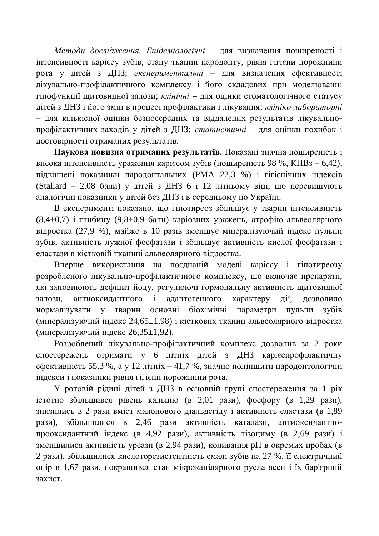Методи дослідження. Епідеміологічні – для визначення поширеності і інтенсивності карієсу зубів, стану тканин пародонту, рівня гігієни порожнини рота у дітей з ДНЗ; *експериментальні* – для визначення ефективності лікувально-профілактичного комплексу і його складових при моделюванні гіпофункції щитовидної залози; *клінічні* – для оцінки стоматологічного статусу дітей з ДНЗ і його змін в процесі профілактики і лікування; *клініко-лабораторні* – для кількісної оцінки безпосередніх та віддалених результатів лікувальнопрофілактичних заходів у дітей з ДНЗ; статистичні - для оцінки похибок і достовірності отриманих результатів.

Наукова новизна отриманих результатів. Показані значна поширеність і висока інтенсивність ураження карієсом зубів (поширеність 98 %, КПВз – 6,42), підвищені показники пародонтальних (РМА 22,3 %) і гігієнічних індексів (Stallard – 2,08 бали) у дітей з ДНЗ 6 і 12 літньому віці, що перевищують аналогічні показники у дітей без ДНЗ і в середньому по Україні.

В експерименті показано, що гіпотиреоз збільшує у тварин інтенсивність  $(8,4\pm0,7)$  і глибину  $(9,8\pm0,9)$  бали) каріозних уражень, атрофію альвеолярного відростка (27,9 %), майже в 10 разів зменшує мінералізуючий індекс пульпи зубів, активність лужної фосфатази і збільшує активність кислої фосфатази і еластази в кістковій тканині альвеолярного відростка.

Вперше використання на поєднаній моделі карієсу і гіпотиреозу розробленого лікувально-профілактичного комплексу, що включає препарати, які заповнюють дефіцит йоду, регулюючі гормональну активність щитовидної залози, антиоксилантного і алаптогенного характеру лії, дозволило нормалізувати у тварин основні біохімічні параметри пульпи зубів (мінералізуючий індекс 24,65±1,98) і кісткових тканин альвеолярного відростка (мінералізуючий індекс  $26,35\pm 1,92$ ).

Розроблений лікувально-профілактичний комплекс дозволив за 2 роки спостережень отримати у 6 літніх дітей з ДНЗ карієспрофілактичну ефективність 55,3 %, а у 12 літніх – 41,7 %, значно поліпшити пародонтологічні індекси і показники рівня гігієни порожнини рота.

У ротовій рідині дітей з ДНЗ в основній групі спостереження за 1 рік  $i$ стотно збільшився рівень кальцію (в 2,01 рази), фосфору (в 1,29 рази), знизились в 2 рази вміст малонового діальдегіду і активність еластази (в 1,89 рази), збільшилися в 2,46 рази активність каталази, антиоксидантнопрооксидантний індекс (в 4,92 рази), активність лізоциму (в 2,69 рази) і зменшилися активність уреази (в 2,94 рази), коливання рН в окремих пробах (в 2 рази), збільшилися кислоторезистентність емалі зубів на 27 %, її електричний опір в 1,67 рази, покращився стан мікрокапілярного русла ясен і їх бар'єрний захист.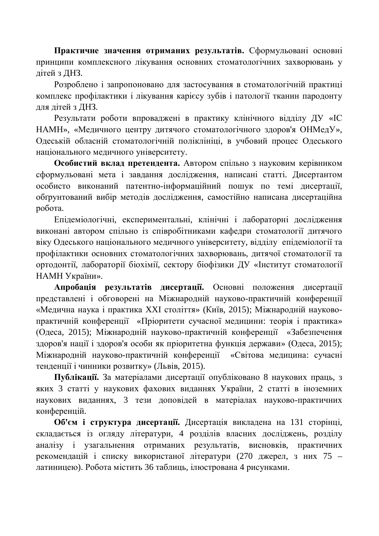Практичне значення отриманих результатів. Сформульовані основні принципи комплексного лікування основних стоматологічних захворювань у дітей з ДНЗ.

Розроблено і запропоновано для застосування в стоматологічній практиці комплекс профілактики і лікування карієсу зубів і патології тканин пародонту для дітей з ДНЗ.

Результати роботи впроваджені в практику клінічного відділу ДУ «ІС НАМН», «Медичного центру дитячого стоматологічного здоров'я ОНМедУ», Одеській обласній стоматологічній поліклініці, в учбовий процес Одеського національного медичного університету.

Особистий вклад претендента. Автором спільно з науковим керівником сформульовані мета і завдання дослідження, написані статті. Дисертантом особисто виконаний патентно-інформаційний пошук по темі дисертації, обґрунтований вибір методів дослідження, самостійно написана дисертаційна poбота.

Епідеміологічні, експериментальні, клінічні і лабораторні дослідження виконані автором спільно із співробітниками кафедри стоматології дитячого віку Олеського національного меличного університету, віллілу епілеміології та профілактики основних стоматологічних захворювань, дитячої стоматології та ортодонтії, лабораторії біохімії, сектору біофізики ДУ «Інститут стоматології НАМН України».

Апробація результатів дисертації. Основні положення дисертації представлені і обговорені на Міжнародній науково-практичній конференції «Медична наука і практика XXI століття» (Київ, 2015); Міжнародній науковопрактичній конференції «Пріоритети сучасної медицини: теорія і практика» (Одеса, 2015); Міжнародній науково-практичній конференції «Забезпечення здоров'я нації і здоров'я особи як пріоритетна функція держави» (Одеса, 2015); Міжнародній науково-практичній конференції «Світова медицина: сучасні тенденції і чинники розвитку» (Львів, 2015).

Публікації. За матеріалами дисертації опубліковано 8 наукових праць, з яких 3 статті у наукових фахових виданнях України, 2 статті в іноземних наукових виданнях, 3 тези доповідей в матеріалах науково-практичних конференцій.

Об'єм і структура дисертації. Дисертація викладена на 131 сторінці, складається із огляду літератури, 4 розділів власних досліджень, розділу аналізу і узагальнення отриманих результатів, висновків, практичних рекомендацій і списку використаної літератури (270 джерел, з них 75 – латиницею). Робота містить 36 таблиць, ілюстрована 4 рисунками.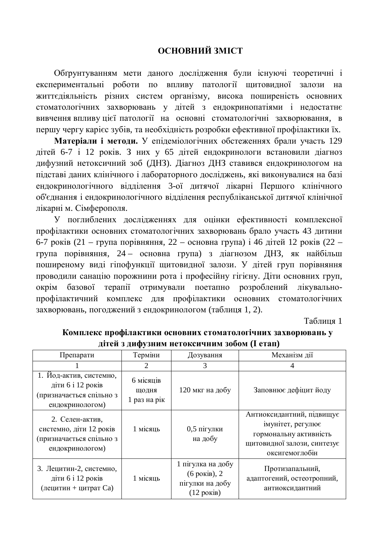# **ОСНОВНИЙ ЗМІСТ**

Обґрунтуванням мети даного дослідження були існуючі теоретичні і експериментальні роботи по впливу патології щитовидної залози на життєдіяльність різних систем організму, висока поширеність основних стоматологічних захворювань у дітей з ендокринопатіями і недостатнє вивчення впливу цієї патології на основні стоматологічні захворювання, в першу чергу карієс зубів, та необхілність розробки ефективної профілактики їх.

Матеріали і методи. У епідеміологічних обстеженнях брали участь 129 дітей 6-7 і 12 років. З них у 65 дітей ендокринологи встановили діагноз дифузний нетоксичний зоб (ДНЗ). Діагноз ДНЗ ставився ендокринологом на підставі даних клінічного і лабораторного досліджень, які виконувалися на базі ендокринологічного відділення 3-ої дитячої лікарні Першого клінічного об'єднання і ендокринологічного відділення республіканської дитячої клінічної лікарні м. Сімферополя.

У поглиблених дослідженнях для оцінки ефективності комплексної профілактики основних стоматологічних захворювань брало участь 43 дитини 6-7 років (21 – група порівняння, 22 – основна група) і 46 дітей 12 років (22 – група порівняння, 24 – основна група) з діагнозом ДНЗ, як найбільш поширеному виді гіпофункції щитовидної залози. У дітей груп порівняння проводили санацію порожнини рота і професійну гігієну. Діти основних груп, окрім базової терапії отримували поетапно розроблений лікувальнопрофілактичний комплекс для профілактики основних стоматологічних захворювань, погоджений з ендокринологом (таблиця 1, 2).

Таблиня 1

| Препарати                                                                                   | Терміни                                        | Дозування                                                                   | Механізм дії                                                                                                              |
|---------------------------------------------------------------------------------------------|------------------------------------------------|-----------------------------------------------------------------------------|---------------------------------------------------------------------------------------------------------------------------|
|                                                                                             |                                                |                                                                             |                                                                                                                           |
| 1. Йод-актив, системно,<br>діти 6 і 12 років<br>(призначається спільно з<br>ендокринологом) | 6 місяців<br>ЩОДНЯ<br>$1$ pas $Ha$ pi $\kappa$ | 120 мкг на добу                                                             | Заповнює дефіцит йоду                                                                                                     |
| 2. Селен-актив,<br>системно, діти 12 років<br>(призначається спільно з<br>ендокринологом)   | 1 місяць                                       | $0,5$ пігулки<br>на добу                                                    | Антиоксидантний, підвищує<br>імунітет, регулює<br>гормональну активність<br>щитовидної залози, синтезує<br>оксигемоглобін |
| 3. Лецитин-2, системно,<br>діти 6 і 12 років<br>(лецитин + цитрат Ca)                       | 1 місяць                                       | 1 пігулка на добу<br>(6 років), 2<br>пігулки на добу<br>$(12 \text{ poks})$ | Протизапальний,<br>адаптогений, остеотропний,<br>антиоксидантний                                                          |

Комплекс профілактики основних стоматологічних захворювань у дітей з дифузним нетоксичним зобом (I етап)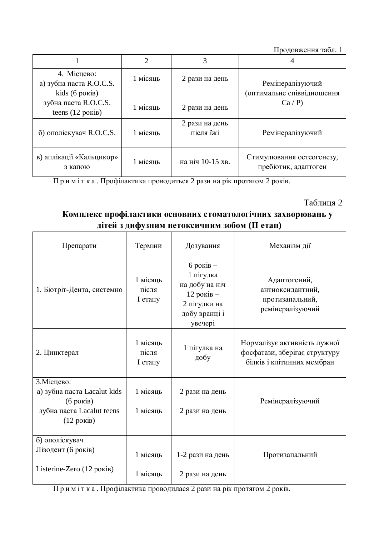Продовження табл. 1

|                                                          | $\mathcal{D}_{\mathcal{A}}$ |                             |                                                   |
|----------------------------------------------------------|-----------------------------|-----------------------------|---------------------------------------------------|
| 4. Місцево:<br>а) зубна паста R.O.C.S.<br>kids (6 років) | 1 місяць                    | 2 рази на день              | Ремінералізуючий<br>(оптимальне співвідношення    |
| зубна паста R.O.C.S.<br>teens $(12 \text{ porkiB})$      | 1 місяць                    | 2 рази на день              | Ca/P                                              |
| б) ополіскувач R.O.C.S.                                  | 1 місяць                    | 2 рази на день<br>після їжі | Ремінералізуючий                                  |
| в) аплікації «Кальцикор»<br>з капою                      | 1 місяць                    | на ніч 10-15 хв.            | Стимулювання остеогенезу,<br>пребіотик, адаптоген |

Примітка. Профілактика проводиться 2 рази на рік протягом 2 років.

## Таблиця 2

# Комплекс профілактики основних стоматологічних захворювань у дітей з дифузним нетоксичним зобом (II етап)

| Препарати                                                                                                            | Терміни                        | Дозування                                                                                              | Механізм дії                                                                                |
|----------------------------------------------------------------------------------------------------------------------|--------------------------------|--------------------------------------------------------------------------------------------------------|---------------------------------------------------------------------------------------------|
| 1. Біотріт-Дента, системно                                                                                           | 1 місяць<br>після<br>$I$ erany | $6$ років –<br>1 пігулка<br>на добу на ніч<br>12 років $-$<br>2 пігулки на<br>добу вранці і<br>увечері | Адаптогений,<br>антиоксидантний,<br>протизапальний,<br>ремінералізуючий                     |
| 2. Цинктерал                                                                                                         | 1 місяць<br>після<br>I етапу   | 1 пігулка на<br>добу                                                                                   | Нормалізує активність лужної<br>фосфатази, зберігає структуру<br>білків і клітинних мембран |
| 3. Місцево:<br>a) зубна паста Lacalut kids<br>$(6 \text{ poks})$<br>зубна паста Lacalut teens<br>$(12 \text{ poks})$ | 1 місяць<br>1 місяць           | 2 рази на день<br>2 рази на день                                                                       | Ремінералізуючий                                                                            |
| б) ополіскувач<br>Лізодент (6 років)<br>Listerine-Zero (12 років)                                                    | 1 місяць<br>1 місяць           | 1-2 рази на день<br>2 рази на день                                                                     | Протизапальний                                                                              |

Примітка. Профілактика проводилася 2 рази на рік протягом 2 років.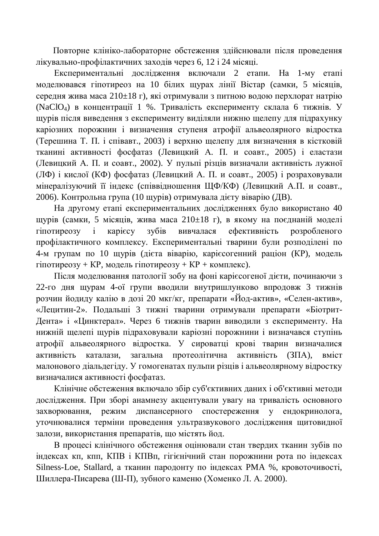Повторне клініко-лабораторне обстеження здійснювали після проведення лікувально-профілактичних заходів через 6, 12 і 24 місяці.

Експериментальні дослідження включали 2 етапи. На 1-му етапі моделювався гіпотиреоз на 10 білих щурах лінії Вістар (самки, 5 місяців, середня жива маса  $210\pm18$  г), які отримували з питною водою перхлорат натрію (NaClO<sub>4</sub>) в концентрації 1 %. Тривалість експерименту склала 6 тижнів. У щурів після виведення з експерименту виділяли нижню щелепу для підрахунку каріозних порожнин і визначення ступеня атрофії альвеолярного відростка (Терешина Т. П. і співавт., 2003) і верхню щелепу для визначення в кістковій тканині активності фосфатаз (Левицкий А. П. и соавт., 2005) і еластази (Левицкий А. П. и соавт., 2002). У пульпі різців визначали активність лужної  $(\Pi\Phi)$  і кислої (КФ) фосфатаз (Левицкий А. П. и соавт., 2005) і розраховували мінералізуючий її індекс (співвідношення ШФ/КФ) (Левицкий А.П. и соавт., 2006). Контрольна група (10 щурів) отримувала дієту віварію (ДВ).

На другому етапі експериментальних дослідженнях було використано 40 щурів (самки, 5 місяців, жива маса 210±18 г), в якому на поєднаній моделі гіпотиреозу і карієсу зубів вивчалася ефективність розробленого профілактичного комплексу. Експериментальні тварини були розполілені по 4-м групам по 10 щурів (дієта віварію, каріє согенний раціон (КР), модель  $\overline{T}$ пиотиреозу + КР, модель  $\overline{T}$ нотиреозу + КР + комплекс).

Після моделювання патології зобу на фоні карієсогеної дієти, починаючи з 22-го дня щурам 4-ої групи вводили внутришлунково впродовж 3 тижнів розчин йодиду калію в дозі 20 мкг/кг, препарати «Йод-актив», «Селен-актив», «Лецитин-2». Подальші 3 тижні тварини отримували препарати «Біотрит-Дента» і «Цинктерал». Через 6 тижнів тварин виводили з експерименту. На нижній щелепі щурів підраховували каріозні порожнини і визначався ступінь атрофії альвеолярного відростка. У сироватці крові тварин визначалися активність каталази, загальна протеолітична активність (ЗПА), вміст малонового діальдегіду. У гомогенатах пульпи різців і альвеолярному відростку визначалися активності фосфатаз.

Клінічне обстеження включало збір суб'єктивних даних і об'єктивні методи дослідження. При зборі анамнезу акцентували увагу на тривалість основного захворювання, режим диспансерного спостереження у ендокринолога, уточнювалися терміни проведення ультразвукового дослідження щитовидної залози, використання препаратів, що містять йод.

В процесі клінічного обстеження оцінювали стан твердих тканин зубів по індексах кп, кпп, КПВ і КПВп, гігієнічний стан порожнини рота по індексах Silness-Loe, Stallard, а тканин пародонту по індексах РМА %, кровоточивості, Шиллера-Писарева (Ш-П), зубного каменю (Хоменко Л. А. 2000).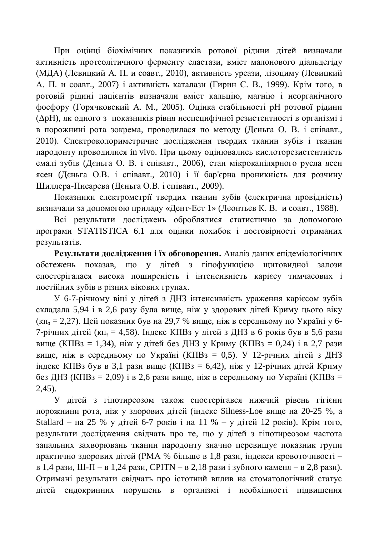При оцінці біохімічних показників ротової рідини дітей визначали активність протеолітичного ферменту еластази, вміст малонового діальдегіду (МДА) (Левицкий А. П. и соавт., 2010), активність уреази, лізоциму (Левицкий А. П. и соавт., 2007) і активність каталази (Гирин С. В., 1999). Крім того, в ротовій рідині пацієнтів визначали вміст кальцію, магнію і неорганічного фосфору (Горячковский А. М., 2005). Оцінка стабільності рН ротової рідини  $(\Delta pH)$ , як одного з показників рівня неспецифічної резистентності в організмі і в порожнині рота зокрема, проводилася по методу (Дєньга О. В. і співавт., 2010). Спектроколориметричне дослідження твердих тканин зубів і тканин пародонту проводилися in vivo. При цьому оцінювались кислоторезистентність емалі зубів (Деньга О. В. і співавт., 2006), стан мікрокапілярного русла ясен ясен (Дєньга О.В. і співавт., 2010) і її бар'єрна проникність для розчину Шиллера-Писарева (Дєньга О.В. і співавт., 2009).

Показники електрометрії твердих тканин зубів (електрична провідність) визначали за допомогою приладу «Дент-Ест 1» (Леонтьев К. В. и соавт., 1988).

Всі результати досліджень оброблялися статистично за допомогою програми STATISTICA 6.1 для оцінки похибок і достовірності отриманих результатів.

Результати дослідження і їх обговорення. Аналіз даних епідеміологічних обстежень показав, що у дітей з гіпофункцією щитовидної залози спостерігалася висока поширеність і інтенсивність карієсу тимчасових і постійних зубів в різних вікових групах.

У 6-7-річному віці у дітей з ДНЗ інтенсивність ураження карієсом зубів складала 5,94  $i$  в 2,6 разу була вище, ніж у здорових дітей Криму цього віку  $(\kappa \pi_3 = 2,27)$ . Цей показник був на 29,7 % вище, ніж в середньому по Україні у 6-7-річних дітей (кп<sub>з</sub> = 4,58). Індекс КПВз у дітей з ДНЗ в 6 років був в 5,6 рази вище (КПВз = 1,34), ніж у дітей без ДНЗ у Криму (КПВз = 0,24) і в 2,7 рази вище, ніж в середньому по Україні (КПВз = 0,5). У 12-річних дітей з ДНЗ  $\overline{H}$ ндекс КПВз був в 3,1 рази вище (КПВз = 6,42), ніж у 12-річних дітей Криму без ДНЗ (КПВз = 2,09) і в 2,6 рази вище, ніж в середньому по Україні (КПВз = 2,45).

У дітей з гіпотиреозом також спостерігався нижчий рівень гігієни порожнини рота, ніж у здорових дітей (індекс Silness-Loe вище на 20-25 %, а Stallard – на 25 % у дітей 6-7 років і на 11 % – у дітей 12 років). Крім того, результати дослідження свідчать про те, що у дітей з гіпотиреозом частота запальних захворювань тканин пародонту значно перевищує показник групи практично здорових дітей (РМА % більше в 1,8 рази, індекси кровоточивості – в 1,4 рази, Ш-П – в 1,24 рази, СРІТN – в 2,18 рази і зубного каменя – в 2,8 рази). Отримані результати свідчать про істотний вплив на стоматологічний статус дітей ендокринних порушень в організмі і необхідності підвищення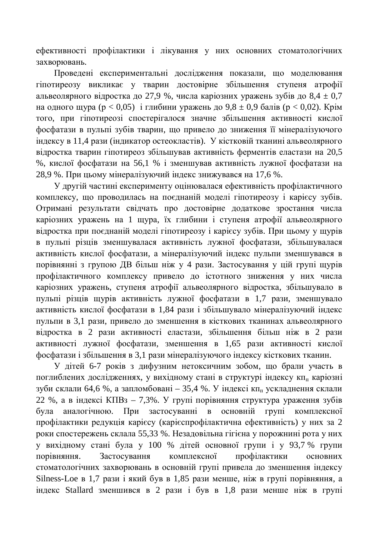ефективності профілактики і лікування у них основних стоматологічних захворювань.

Проведені експериментальні дослідження показали, що моделювання гіпотиреозу викликає у тварин достовірне збільшення ступеня атрофії альвеолярного відростка до 27,9 %, числа каріозних уражень зубів до 8,4  $\pm$  0,7 на одного щура ( $p < 0.05$ ) і глибини уражень до 9,8  $\pm$  0,9 балів ( $p < 0.02$ ). Крім того, при гіпотиреозі спостерігалося значне збільшення активності кислої фосфатази в пульпі зубів тварин, що привело до зниження її мінералізуючого індексу в 11,4 рази (індикатор остеокластів). У кістковій тканині альвеолярного відростка тварин гіпотиреоз збільшував активність ферментів еластази на 20,5 %, кислої фосфатази на 56,1 % і зменшував активність лужної фосфатази на 28,9 %. При цьому мінералізуючий індекс знижувався на 17,6 %.

У другій частині експерименту оцінювалася ефективність профілактичного комплексу, що проводилась на поєднаній моделі гіпотиреозу і карієсу зубів. Отримані результати свідчать про достовірне додаткове зростання числа каріозних уражень на 1 щура, їх глибини і ступеня атрофії альвеолярного відростка при поєднаній моделі гіпотиреозу і карієсу зубів. При цьому у щурів в пульпі різців зменшувалася активність лужної фосфатази, збільшувалася активність кислої фосфатази, а мінералізуючий індекс пульпи зменшувався в порівнянні з групою ДВ більш ніж у 4 рази. Застосування у цій групі щурів профілактичного комплексу привело до істотного зниження у них числа каріозних уражень, ступеня атрофії альвеолярного відростка, збільшувало в пульпі різців щурів активність лужної фосфатази в 1,7 рази, зменшувало активність кислої фосфатази в 1,84 рази і збільшувало мінералізуючий індекс пульпи в 3,1 рази, привело до зменшення в кісткових тканинах альвеолярного відростка в 2 рази активності еластази, збільшення більш ніж в 2 рази активності лужної фосфатази, зменшення в 1,65 рази активності кислої фосфатази і збільшення в 3,1 рази мінералізуючого індексу кісткових тканин.

У дітей 6-7 років з дифузним нетоксичним зобом, що брали участь в поглиблених дослідженнях, у вихідному стані в структурі індексу кп<sub>п</sub> каріозні зуби склали 64,6 %, а запломбовані – 35,4 %. У індексі кп<sub>п</sub> ускладнення склали 22 %, а в індексі КПВз – 7,3%. У групі порівняння структура ураження зубів була аналогічною. При застосуванні в основній групі комплексної профілактики редукція карієсу (карієспрофілактична ефективність) у них за 2 роки спостережень склала 55,33 %. Незадовільна гігієна у порожнині рота у них у вихідному стані була у 100 % дітей основної групи і у 93,7 % групи порівняння. Застосування комплексної профілактики основних стоматологічних захворювань в основній групі привела до зменшення індексу Silness-Loe в 1,7 рази і який був в 1,85 рази менше, ніж в групі порівняння, а iндекс Stallard зменшився в 2 рази i був в 1,8 рази менше ніж в групі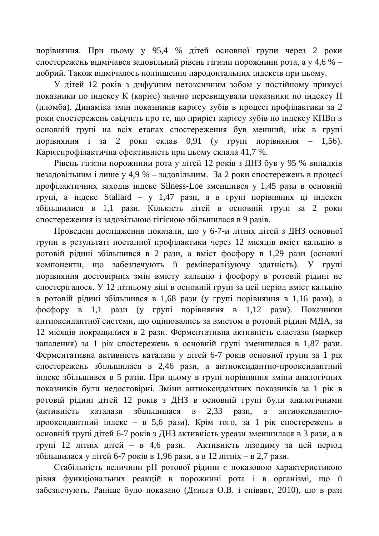порівняння. При цьому у 95,4 % дітей основної групи через 2 роки спостережень відмічався задовільний рівень гігієни порожнини рота, а у 4,6 % – добрий. Також відмічалось поліпшення пародонтальних індексів при цьому.

У дітей 12 років з дифузним нетоксичним зобом у постійному прикусі показники по індексу К (карієс) значно перевищували показники по індексу П (пломба). Динаміка змін показників карієсу зубів в процесі профілактики за 2 роки спостережень свідчить про те, що приріст карієсу зубів по індексу КПВп в основній групі на всіх етапах спостереження був менший, ніж в групі порівняння і за 2 роки склав 0,91 (у групі порівняння – 1,56). Карієспрофілактична ефективність при цьому склала 41,7 %.

Рівень гігієни порожнини рота у дітей 12 років з ДНЗ був у 95 % випадків незадовільним і лише у 4,9 % – задовільним. За 2 роки спостережень в процесі профілактичних заходів індекс Silness-Loe зменшився у 1,45 рази в основній групі, а індекс Stallard – у 1,47 рази, а в групі порівняння ці індекси збільшилися в 1,1 рази. Кількість дітей в основній групі за 2 роки спостереження із задовільною гігієною збільшилася в 9 разів.

Проведені дослідження показали, що у 6-7-и літніх дітей з ДНЗ основної групи в результаті поетапної профілактики через 12 місяців вміст кальцію в ротовій рідині збільшився в 2 рази, а вміст фосфору в 1,29 рази (основні компоненти, що забезпечують її ремінералізуючу здатність). У групі порівняння достовірних змін вмісту кальцію і фосфору в ротовій рідині не спостерігалося. У 12 літньому віці в основній групі за цей період вміст кальцію в ротовій рідині збільшився в 1,68 рази (у групі порівняння в 1,16 рази), а  $\phi$ осфору в 1,1 рази (у групі порівняння в 1,12 рази). Показники антиоксидантної системи, що оцінювались за вмістом в ротовій рідині МДА, за 12 місяців покращилися в 2 рази. Ферментативна активність еластази (маркер запалення) за 1 рік спостережень в основній групі зменшилася в 1,87 рази. Ферментативна активність каталази у дітей 6-7 років основної групи за 1 рік спостережень збільшилася в 2,46 рази, а антиоксидантно-прооксидантний індекс збільшився в 5 разів. При цьому в групі порівняння зміни аналогічних показників були недостовірні. Зміни антиоксидантних показників за 1 рік в ротовій рідині дітей 12 років з ДНЗ в основній групі були аналогічними (активність каталази збільшилася в 2,33 рази, а антиоксидантнопрооксидантний індекс – в 5,6 рази). Крім того, за 1 рік спостережень в основній групі дітей 6-7 років з ДНЗ активність уреази зменшилася в 3 рази, а в групі 12 літніх дітей – в 4,6 рази. Активність лізоциму за цей період збільшилася у дітей 6-7 років в 1,96 рази, а в 12 літніх – в 2,7 рази.

Стабільність величини рН ротової рідини є показовою характеристикою рівня функціональних реакцій в порожнині рота і в організмі, що її забезпечують. Раніше було показано (Дєньга О.В. і співавт, 2010), що в разі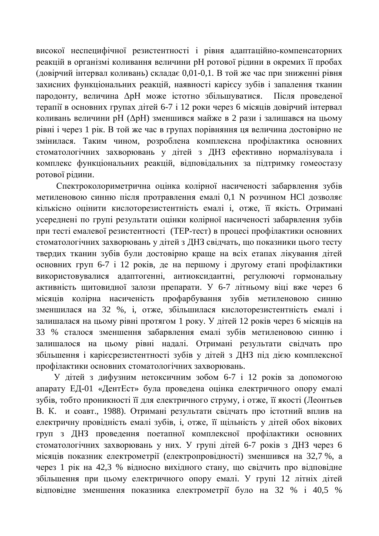високої неспецифічної резистентності і рівня адаптаційно-компенсаторних реакцій в організмі коливання величини рН ротової рідини в окремих її пробах (довірчий інтервал коливань) склалає 0,01-0,1. В той же час при зниженні рівня захисних функціональних реакцій, наявності карієсу зубів і запалення тканин пародонту, величина  $\Delta$ рН може істотно збільшуватися. Після проведеної терапії в основних групах дітей 6-7 і 12 роки через 6 місяців довірчий інтервал коливань величини рН ( $\Delta$ рН) зменшився майже в 2 рази і залишався на цьому рівні і через 1 рік. В той же час в групах порівняння ця величина достовірно не змінилася. Таким чином, розроблена комплексна профілактика основних стоматологічних захворювань у дітей з ДНЗ ефективно нормалізувала і комплекс функціональних реакцій, відповідальних за підтримку гомеостазу ротової рідини.

Спектроколориметрична оцінка колірної насиченості забарвлення зубів метиленовою синню після протравлення емалі 0,1 N розчином HCl дозволяє кількісно оцінити кислоторезистентність емалі і, отже, її якість. Отримані vсереднені по групі результати оцінки колірної насиченості забарвлення зубів при тесті емалевої резистентності (ТЕР-тест) в процесі профілактики основних стоматологічних захворювань у дітей з ДНЗ свідчать, що показники цього тесту твердих тканин зубів були достовірно краще на всіх етапах лікування дітей основних груп 6-7 і 12 років, де на першому і другому етапі профілактики використовувалися адаптогенні, антиоксидантні, регулюючі гормональну активність щитовидної залози препарати. У 6-7 літньому віці вже через 6 місяців колірна насиченість профарбування зубів метиленовою синню зменшилася на 32 %, і, отже, збільшилася кислоторезистентність емалі і залишалася на цьому рівні протягом 1 року. У дітей 12 років через 6 місяців на 33 % сталося зменшення забарвлення емалі зубів метиленовою синню і залишалося на цьому рівні надалі. Отримані результати свідчать про збільшення і карієсрезистентності зубів у дітей з ДНЗ під дією комплексної профілактики основних стоматологічних захворювань.

У дітей з дифузним нетоксичним зобом 6-7 і 12 років за допомогою апарату ЕД-01 «ДентЕст» була проведена оцінка електричного опору емалі зубів, тобто проникності її для електричного струму, і отже, її якості (Леонтьев В. К. и соавт., 1988). Отримані результати свідчать про істотний вплив на електричну провідність емалі зубів, і, отже, її щільність у дітей обох вікових груп з ДНЗ проведення поетапної комплексної профілактики основних стоматологічних захворювань у них. У групі дітей 6-7 років з ДНЗ через 6 місяців показник електрометрії (електропровідності) зменшився на 32,7 %, а через 1 рік на 42,3 % відносно вихідного стану, що свідчить про відповідне збільшення при цьому електричного опору емалі. У групі 12 літніх дітей відповідне зменшення показника електрометрії було на 32 % і 40,5 %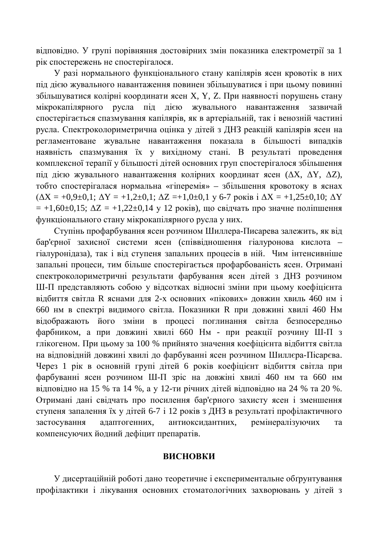відповідно. У групі порівняння достовірних змін показника електрометрії за 1 рік спостережень не спостерігалося.

У разі нормального функціонального стану капілярів ясен кровотік в них під дією жувального навантаження повинен збільшуватися і при цьому повинні збільшуватися колірні координати ясен X, Y, Z. При наявності порушень стану мікрокапілярного русла під дією жувального навантаження зазвичай спостерігається спазмування капілярів, як в артеріальній, так і венозній частині русла. Спектроколориметрична оцінка у дітей з ДНЗ реакцій капілярів ясен на регламентоване жувальне навантаження показала в більшості випадків наявність спазмування їх у вихідному стані. В результаті проведення комплексної терапії у більшості дітей основних груп спостерігалося збільшення під дією жувального навантаження колірних координат ясен ( $\Delta X$ ,  $\Delta Y$ ,  $\Delta Z$ ), тобто спостерігалася нормальна «гіперемія» – збільшення кровотоку в яснах  $(\Delta X = +0.9\pm 0.1; \Delta Y = +1.2\pm 0.1; \Delta Z = +1.0\pm 0.1$  y 6-7 pokis i  $\Delta X = +1.25\pm 0.10; \Delta Y$  $= +1,60\pm0,15; \Delta Z = +1,22\pm0,14 \text{ y } 12 \text{ poki}$ , що свідчать про значне поліпшення функціонального стану мікрокапілярного русла у них.

Ступінь профарбування ясен розчином Шиллера-Писарева залежить, як від бар'єрної захисної системи ясен (співвідношення гіалуронова кислота гіалуронідаза), так і від ступеня запальних процесів в ній. Чим інтенсивніше запальні процеси, тим більше спостерігається профарбованість ясен. Отримані спектроколориметричні результати фарбування ясен дітей з ДНЗ розчином Ш-П представляють собою у відсотках відносні зміни при цьому коефіцієнта відбиття світла R яснами для 2-х основних «пікових» довжин хвиль 460 нм і 660 нм в спектрі видимого світла. Показники R при довжині хвилі 460 Нм відображають його зміни в процесі поглинання світла безпосередньо фарбником, а при довжині хвилі 660 Нм - при реакції розчину Ш-П з глікогеном. При цьому за 100 % прийнято значення коефіцієнта відбиття світла на відповідній довжині хвилі до фарбуванні ясен розчином Шиллєра-Пісарєва. Через 1 рік в основній групі дітей 6 років коефіцієнт відбиття світла при фарбуванні ясен розчином Ш-П зріс на довжіні хвилі 460 нм та 660 нм відповідно на 15 % та 14 %, а у 12-ти річних дітей відповідно на 24 % та 20 %. Отримані дані свідчать про посилення бар'єрного захисту ясен і зменшення ступеня запалення їх у дітей 6-7 і 12 років з ДНЗ в результаті профілактичного застосування адаптогенних, антиоксидантних, ремінералізуючих та компенсуючих йодний дефіцит препаратів.

#### **ВИСНОВКИ**

У дисертаційній роботі дано теоретичне і експериментальне обґрунтування профілактики і лікування основних стоматологічних захворювань у дітей з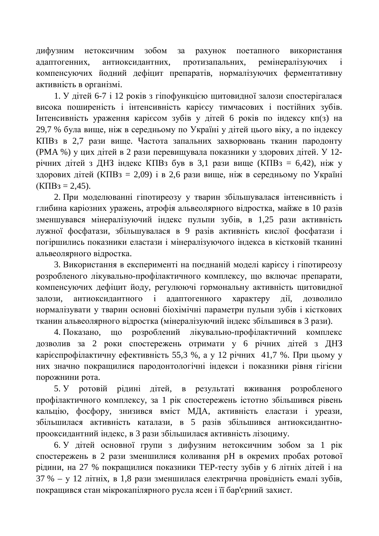дифузним нетоксичним зобом за рахунок поетапного використання адаптогенних, антиоксидантних, протизапальних, ремінералізуючих і компенсуючих йолний лефіцит препаратів, нормалізуючих ферментативну активність в організмі.

1. У дітей 6-7 і 12 років з гіпофункцією щитовидної залози спостерігалася висока поширеність і інтенсивність карієсу тимчасових і постійних зубів. Iнтенсивність ураження карієсом зубів у дітей 6 років по індексу кп(з) на 29.7 % була више, ніж в середньому по Україні у дітей цього віку, а по індексу КПВз в 2,7 рази вище. Частота запальних захворювань тканин пародонту (PMA %) у цих дітей в 2 рази перевищувала показники у здорових дітей. У 12річних дітей з ДНЗ індекс КПВз був в 3,1 рази вище (КПВз = 6,42), ніж у здорових дітей (КПВз = 2,09) і в 2,6 рази вище, ніж в середньому по Україні  $(K\Pi B3 = 2.45)$ .

2. При моделюванні гіпотиреозу у тварин збільшувалася інтенсивність і глибина каріозних уражень, атрофія альвеолярного відростка, майже в 10 разів зменшувався мінералізуючий індекс пульпи зубів, в 1,25 рази активність лужної фосфатази, збільшувалася в 9 разів активність кислої фосфатази і погіршились показники еластази і мінералізуючого індекса в кістковій тканині альвеолярного відростка.

3. Використання в експерименті на поєднаній моделі карієсу і гіпотиреозу розробленого лікувально-профілактичного комплексу, що включає препарати, компенсуючих дефіцит йоду, регулюючі гормональну активність щитовидної залози, антиоксилантного і алаптогенного характеру лії, дозволило нормалізувати у тварин основні біохімічні параметри пульпи зубів і кісткових тканин альвеолярного відростка (мінералізуючий індекс збільшився в 3 рази).

4. Показано, що розроблений лікувально-профілактичний комплекс дозволив за 2 роки спостережень отримати у 6 річних дітей з ДНЗ карієспрофілактичну ефективність 55,3 %, а у 12 річних 41,7 %. При цьому у них значно покращилися пародонтологічні індекси і показники рівня гігієни порожнини рота.

5. У ротовій рідині дітей, в результаті вживання розробленого профілактичного комплексу, за 1 рік спостережень істотно збільшився рівень кальцію, фосфору, знизився вміст МДА, активність еластази і уреази, збільшилася активність каталази, в 5 разів збільшився антиоксидантнопрооксидантний індекс, в 3 рази збільшилася активність лізоциму.

6. У дітей основної групи з дифузним нетоксичним зобом за 1 рік спостережень в 2 рази зменшилися коливання рН в окремих пробах ротової рідини, на 27 % покращилися показники ТЕР-тесту зубів у 6 літніх дітей і на 37 % – у 12 літніх, в 1,8 рази зменшилася електрична провідність емалі зубів, покращився стан мікрокапілярного русла ясен і її бар'єрний захист.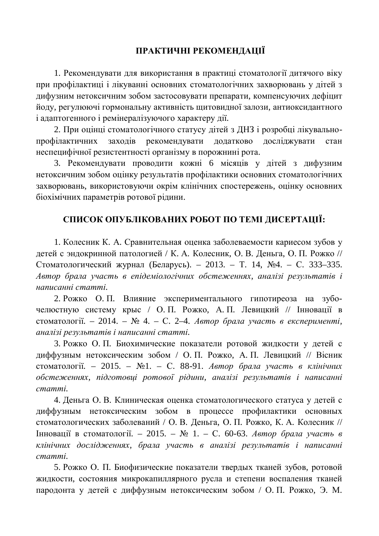# ПРАКТИЧНІ РЕКОМЕНДАЦІЇ

1. Рекомендувати для використання в практиці стоматології дитячого віку при профілактиці і лікуванні основних стоматологічних захворювань у дітей з дифузним нетоксичним зобом застосовувати препарати, компенсуючих дефіцит йоду, регулюючі гормональну активність щитовидної залози, антиоксидантного і адаптогенного і ремінералізуючого характеру дії.

2. При оцінці стоматологічного статусу літей з ДНЗ і розробці лікувальнопрофілактичних заходів рекомендувати додатково досліджувати стан неспецифічної резистентності організму в порожнині рота.

3. Рекомендувати проводити кожні 6 місяців у дітей з дифузним нетоксичним зобом оцінку результатів профілактики основних стоматологічних захворювань, використовуючи окрім клінічних спостережень, оцінку основних біохімічних параметрів ротової рідини.

## СПИСОК ОПУБЛІКОВАНИХ РОБОТ ПО ТЕМІ ДИСЕРТАЦІЇ:

1. Колесник К. А. Сравнительная оценка заболеваемости кариесом зубов у детей с эндокринной патологией / К. А. Колесник, О. В. Деньга, О. П. Рожко // Стоматологический журнал (Беларусь). – 2013. – Т. 14, №4. – С. 333–335. Автор брала участь в епідеміологічних обстеженнях, аналізі результатів і *ɧɚɩɢɫɚɧɧɿɫɬɚɬɬɿ.*

2. Рожко О. П. Влияние экспериментального гипотиреоза на зубочелюстную систему крыс / О.П. Рожко, А.П. Левицкий // Інновації в стоматології. – 2014. – № 4. – С. 2–4. *Автор брала участь в експерименті*, *ɚɧɚɥɿɡɿɪɟɡɭɥɶɬɚɬɿɜɿɧɚɩɢɫɚɧɧɿɫɬɚɬɬɿ.*

3. Рожко О. П. Биохимические показатели ротовой жидкости у детей с диффузным нетоксическим зобом / О. П. Рожко, А. П. Левицкий // Вісник стоматології. – 2015. – №1. – С. 88-91. Автор брала участь в клінічних *обстеженнях, підготовці ротової рідини, аналізі результатів і написанні*  $c$ *mammi*.

4. Деньга О. В. Клиническая оценка стоматологического статуса у детей с диффузным нетоксическим зобом в процессе профилактики основных стоматологических заболеваний / О. В. Деньга, О. П. Рожко, К. А. Колесник // **Інновації в стоматології.** – 2015. – № 1. – С. 60-63. *Автор брала участь в* клінічних дослідженнях, брала участь в аналізі результатів і написанні  $c$ *mammi*.

5. Рожко О. П. Биофизические показатели твердых тканей зубов, ротовой жидкости, состояния микрокапиллярного русла и степени воспаления тканей пародонта у детей с диффузным нетоксическим зобом / О. П. Рожко, Э. М.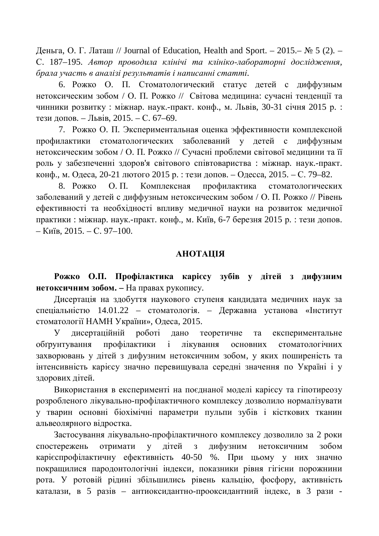Деньга, О. Г. Латаш // Journal of Education, Health and Sport. – 2015.– № 5 (2). – С. 187–195. Автор проводила клінічі та клініко-лабораторні дослідження, брала участь в аналізі результатів і написанні статті.

6. Рожко О. П. Стоматологический статус детей с диффузным нетоксическим зобом / О. П. Рожко // Світова медицина: сучасні тенденції та чинники розвитку : міжнар. наук.-практ. конф., м. Львів, 30-31 січня 2015 р. : тези допов. – Львів, 2015. – С. 67–69.

7. Рожко О. П. Экспериментальная оценка эффективности комплексной профилактики стоматологических заболеваний у детей с диффузным нетоксическим зобом / О. П. Рожко // Сучасні проблеми світової медицини та її роль у забезпеченні здоров'я світового співтовариства: міжнар. наук.-практ. конф., м. Одеса, 20-21 лютого 2015 р. : тези допов. – Одесса, 2015. – С. 79–82.

8. Рожко О. П. Комплексная профилактика стоматологических заболеваний у детей с диффузным нетоксическим зобом / О. П. Рожко // Рівень ефективності та необхідності впливу медичної науки на розвиток медичної практики : міжнар. наук.-практ. конф., м. Київ, 6-7 березня 2015 р. : тези допов.  $-$  K $\mu$ ib, 2015. – C. 97–100.

#### **ЛИЗИЗА**

Рожко О.П. Профілактика карієсу зубів у дітей з дифузним **Нетоксичним зобом. – На правах рукопису.** 

Дисертація на здобуття наукового ступеня кандидата медичних наук за спеціальністю 14.01.22 – стоматологія. – Державна установа «Інститут стоматології НАМН України», Одеса, 2015.

У дисертаційній роботі дано теоретичне та експериментальне обґрунтування профілактики і лікування основних стоматологічних захворювань у дітей з дифузним нетоксичним зобом, у яких поширеність та інтенсивність карієсу значно перевищувала середні значення по Україні і у здорових дітей.

Використання в експерименті на поєднаної моделі карієсу та гіпотиреозу розробленого лікувально-профілактичного комплексу дозволило нормалізувати у тварин основні біохімічні параметри пульпи зубів і кісткових тканин альвеолярного відростка.

Застосування лікувально-профілактичного комплексу дозволило за 2 роки спостережень отримати у дітей з дифузним нетоксичним зобом карієспрофілактичну ефективність 40-50 %. При цьому у них значно покращилися пародонтологічні індекси, показники рівня гігієни порожнини рота. У ротовій рідині збільшились рівень кальцію, фосфору, активність каталази, в 5 разів – антиоксидантно-прооксидантний індекс, в 3 рази -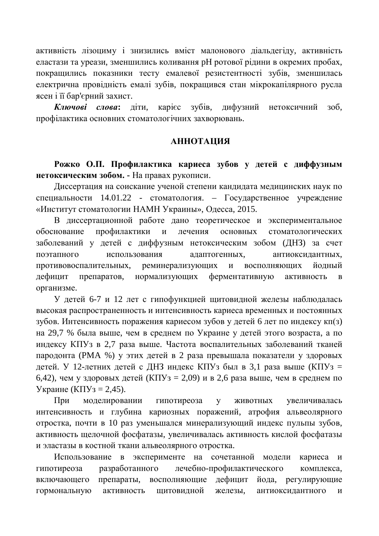активність лізоциму і знизились вміст малонового діальдегіду, активність еластази та уреази, зменшились коливання рН ротової рідини в окремих пробах, покрашились показники тесту емалевої резистентності зубів, зменшилась електрична провідність емалі зубів, покращився стан мікрокапілярного русла ясен і її бар'єрний захист.

Ключові слова: діти, карієс зубів, дифузний нетоксичний зоб, профілактика основних стоматологічних захворювань.

#### **АННОТАЦИЯ**

Рожко О.П. Профилактика кариеса зубов у детей с диффузным **Нетоксическим зобом. - На правах рукописи.** 

Диссертация на соискание ученой степени кандидата медицинских наук по специальности 14.01.22 - стоматология. – Государственное учреждение «Институт стоматологии НАМН Украины», Одесса, 2015.

В диссертационной работе дано теоретическое и экспериментальное обоснование профилактики и лечения основных стоматологических заболеваний у детей с диффузным нетоксическим зобом (ДНЗ) за счет ПОЭТАПНОГО ИСПОЛЬЗОВАНИЯ АЛАПТОГЕННЫХ, АНТИОКСИЛАНТНЫХ, противовоспалительных, реминерализующих и восполняющих йодный дефицит препаратов, нормализующих ферментативную активность в организме.

У детей 6-7 и 12 лет с гипофункцией щитовидной железы наблюдалась высокая распространенность и интенсивность кариеса временных и постоянных зубов. Интенсивность поражения кариесом зубов у детей 6 лет по индексу кп(з) на 29,7 % была выше, чем в среднем по Украине у детей этого возраста, а по индексу КПУз в 2,7 раза выше. Частота воспалительных заболеваний тканей пародонта (РМА %) у этих детей в 2 раза превышала показатели у здоровых детей. У 12-летних детей с ДНЗ индекс КПУз был в 3,1 раза выше (КПУз = 6,42), чем у здоровых детей (КПУз = 2,09) и в 2,6 раза выше, чем в среднем по Украине (КПУ $_3 = 2,45$ ).

При моделировании гипотиреоза у животных увеличивалась интенсивность и глубина кариозных поражений, атрофия альвеолярного отростка, почти в 10 раз уменьшался минерализующий индекс пульпы зубов, активность щелочной фосфатазы, увеличивалась активность кислой фосфатазы и эластазы в костной ткани альвеолярного отростка.

Использование в эксперименте на сочетанной модели кариеса и гипотиреоза разработанного лечебно-профилактического комплекса, включающего препараты, восполняющие дефицит йода, регулирующие гормональную активность щитовидной железы, антиоксидантного и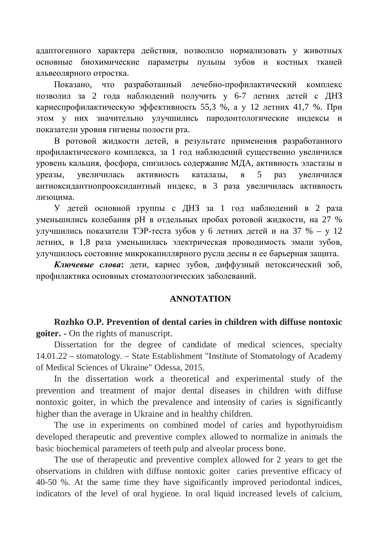адаптогенного характера действия, позволило нормализовать у животных основные биохимические параметры пульпы зубов и костных тканей альвеолярного отростка.

Показано, что разработанный лечебно-профилактический комплекс позволил за 2 года наблюдений получить у 6-7 летних детей с ДНЗ кариеспрофилактическую эффективность 55,3 %, а у 12 летних 41,7 %. При этом у них значительно улучшились пародонтологические индексы и показатели уровня гигиены полости рта.

В ротовой жидкости детей, в результате применения разработанного профилактического комплекса, за 1 год наблюдений существенно увеличился уровень кальция, фосфора, снизилось содержание МДА, активность эластазы и уреазы, увеличилась активность каталазы, в 5 раз увеличился антиоксидантнопрооксидантный индекс, в 3 раза увеличилась активность лизонима.

У детей основной группы с ДНЗ за 1 год наблюдений в 2 раза уменьшились колебания pH в отдельных пробах ротовой жидкости, на 27 % улучшились показатели ТЭР-теста зубов у 6 летних детей и на 37 % – у 12 летних, в 1,8 раза уменьшилась электрическая проводимость эмали зубов, улучшилось состояние микрокапиллярного русла десны и ее барьерная защита.

Ключевые слова: дети, кариес зубов, диффузный нетоксический зоб, профилактика основных стоматологических заболеваний.

#### **ANNOTATION**

**Rozhko O.P. Prevention of dental caries in children with diffuse nontoxic goiter. -** On the rights of manuscript.

Dissertation for the degree of candidate of medical sciences, specialty 14.01.22 – stomatology. – State Establishment "Institute of Stomatology of Academy of Medical Sciences of Ukraine" Odessa, 2015.

In the dissertation work a theoretical and experimental study of the prevention and treatment of major dental diseases in children with diffuse nontoxic goiter, in which the prevalence and intensity of caries is significantly higher than the average in Ukraine and in healthy children.

The use in experiments on combined model of caries and hypothyroidism developed therapeutic and preventive complex allowed to normalize in animals the basic biochemical parameters of teeth pulp and alveolar process bone.

The use of therapeutic and preventive complex allowed for 2 years to get the observations in children with diffuse nontoxic goiter caries preventive efficacy of 40-50 %. At the same time they have significantly improved periodontal indices, indicators of the level of oral hygiene. In oral liquid increased levels of calcium,